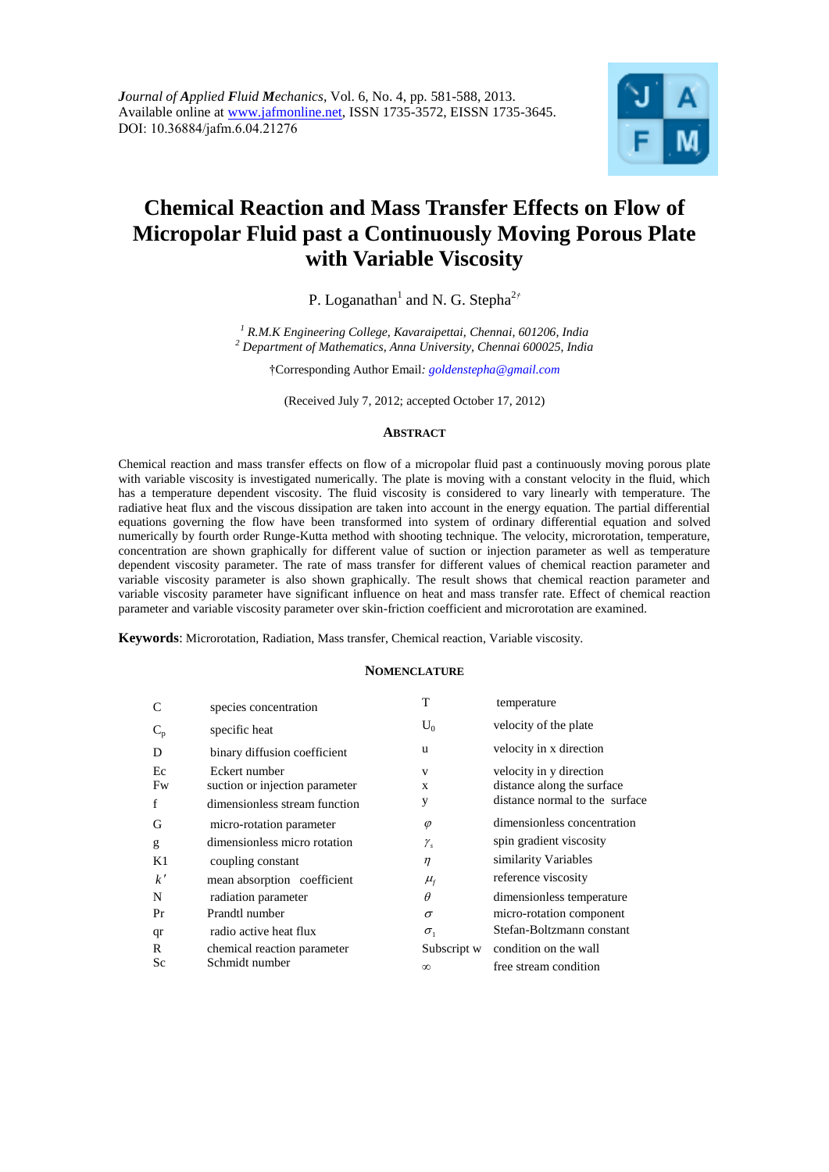

# **Chemical Reaction and Mass Transfer Effects on Flow of Micropolar Fluid past a Continuously Moving Porous Plate with Variable Viscosity**

P. Loganathan<sup>1</sup> and N. G. Stepha<sup>2†</sup>

*<sup>1</sup> R.M.K Engineering College, Kavaraipettai, Chennai, 601206, India <sup>2</sup> Department of Mathematics, Anna University, Chennai 600025, India*

†Corresponding Author Email*: [goldenstepha@gmail.com](mailto:goldenstepha@gmail.com)*

(Received July 7, 2012; accepted October 17, 2012)

# **ABSTRACT**

Chemical reaction and mass transfer effects on flow of a micropolar fluid past a continuously moving porous plate with variable viscosity is investigated numerically. The plate is moving with a constant velocity in the fluid, which has a temperature dependent viscosity. The fluid viscosity is considered to vary linearly with temperature. The radiative heat flux and the viscous dissipation are taken into account in the energy equation. The partial differential equations governing the flow have been transformed into system of ordinary differential equation and solved numerically by fourth order Runge-Kutta method with shooting technique. The velocity, microrotation, temperature, concentration are shown graphically for different value of suction or injection parameter as well as temperature dependent viscosity parameter. The rate of mass transfer for different values of chemical reaction parameter and variable viscosity parameter is also shown graphically. The result shows that chemical reaction parameter and variable viscosity parameter have significant influence on heat and mass transfer rate. Effect of chemical reaction parameter and variable viscosity parameter over skin-friction coefficient and microrotation are examined.

**Keywords**: Microrotation, Radiation, Mass transfer, Chemical reaction, Variable viscosity.

## **NOMENCLATURE**

| C     | species concentration          | Т             | temperature                    |
|-------|--------------------------------|---------------|--------------------------------|
| $C_p$ | specific heat                  | $U_0$         | velocity of the plate          |
| D     | binary diffusion coefficient   | u             | velocity in x direction        |
| Ec    | Eckert number                  | V             | velocity in y direction        |
| Fw    | suction or injection parameter | X             | distance along the surface     |
| f     | dimensionless stream function  | y             | distance normal to the surface |
| G     | micro-rotation parameter       | $\varphi$     | dimensionless concentration    |
| g     | dimensionless micro rotation   | $\gamma_{s}$  | spin gradient viscosity        |
| K1    | coupling constant              | $\eta$        | similarity Variables           |
| k'    | mean absorption coefficient    | $\mu_{\rm f}$ | reference viscosity            |
| N     | radiation parameter            | $\theta$      | dimensionless temperature      |
| Pr    | Prandtl number                 | $\sigma$      | micro-rotation component       |
| qr    | radio active heat flux         | $\sigma_{1}$  | Stefan-Boltzmann constant      |
| R     | chemical reaction parameter    | Subscript w   | condition on the wall          |
| Sc    | Schmidt number                 | $\infty$      | free stream condition          |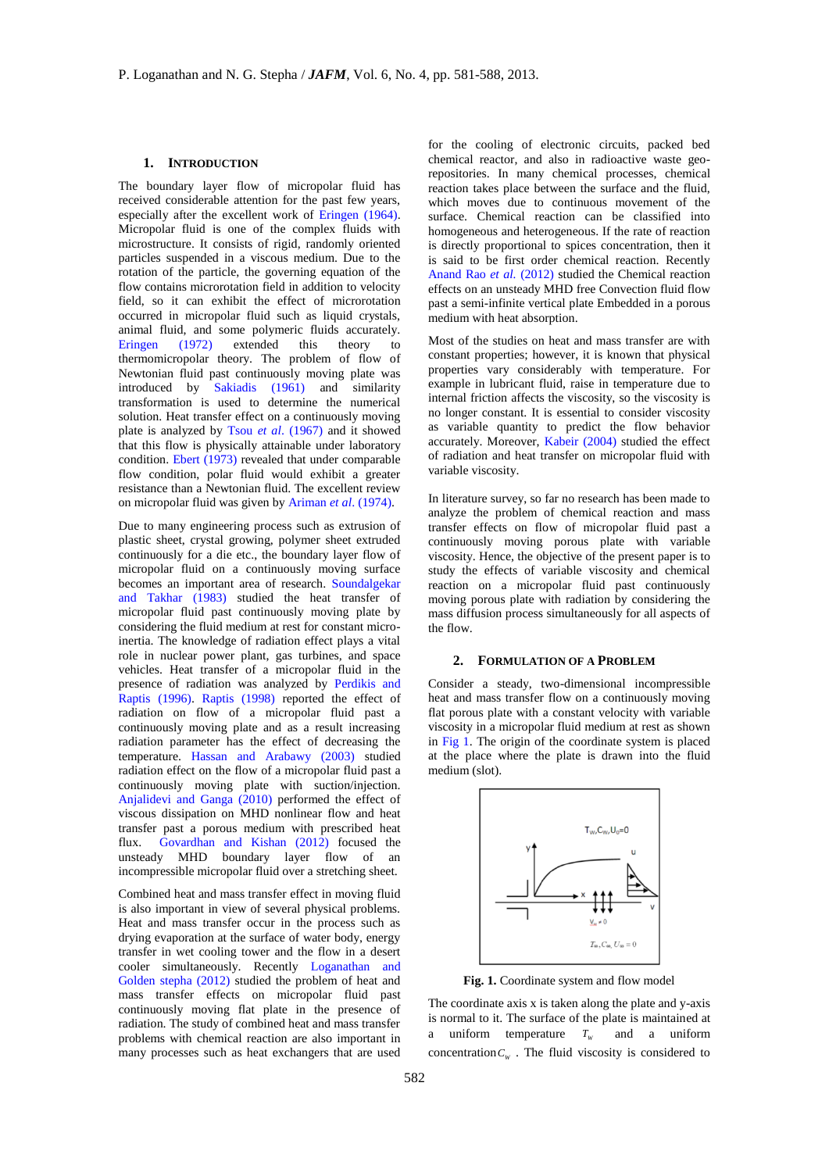## **1. INTRODUCTION**

The boundary layer flow of micropolar fluid has received considerable attention for the past few years, especially after the excellent work of Eringen (1964). Micropolar fluid is one of the complex fluids with microstructure. It consists of rigid, randomly oriented particles suspended in a viscous medium. Due to the rotation of the particle, the governing equation of the flow contains microrotation field in addition to velocity field, so it can exhibit the effect of microrotation occurred in micropolar fluid such as liquid crystals, animal fluid, and some polymeric fluids accurately. Eringen (1972) extended this theory to thermomicropolar theory. The problem of flow of Newtonian fluid past continuously moving plate was introduced by Sakiadis (1961) and similarity transformation is used to determine the numerical solution. Heat transfer effect on a continuously moving plate is analyzed by Tsou *et al*. (1967) and it showed that this flow is physically attainable under laboratory condition. Ebert (1973) revealed that under comparable flow condition, polar fluid would exhibit a greater resistance than a Newtonian fluid. The excellent review on micropolar fluid was given by Ariman *et al*. (1974).

Due to many engineering process such as extrusion of plastic sheet, crystal growing, polymer sheet extruded continuously for a die etc., the boundary layer flow of micropolar fluid on a continuously moving surface becomes an important area of research. Soundalgekar and Takhar (1983) studied the heat transfer of micropolar fluid past continuously moving plate by considering the fluid medium at rest for constant microinertia. The knowledge of radiation effect plays a vital role in nuclear power plant, gas turbines, and space vehicles. Heat transfer of a micropolar fluid in the presence of radiation was analyzed by Perdikis and Raptis (1996). Raptis (1998) reported the effect of radiation on flow of a micropolar fluid past a continuously moving plate and as a result increasing radiation parameter has the effect of decreasing the temperature. Hassan and Arabawy (2003) studied radiation effect on the flow of a micropolar fluid past a continuously moving plate with suction/injection. Anjalidevi and Ganga (2010) performed the effect of viscous dissipation on MHD nonlinear flow and heat transfer past a porous medium with prescribed heat flux. Govardhan and Kishan (2012) focused the unsteady MHD boundary layer flow of an incompressible micropolar fluid over a stretching sheet.

Combined heat and mass transfer effect in moving fluid is also important in view of several physical problems. Heat and mass transfer occur in the process such as drying evaporation at the surface of water body, energy transfer in wet cooling tower and the flow in a desert cooler simultaneously. Recently Loganathan and Golden stepha (2012) studied the problem of heat and mass transfer effects on micropolar fluid past continuously moving flat plate in the presence of radiation. The study of combined heat and mass transfer problems with chemical reaction are also important in many processes such as heat exchangers that are used

for the cooling of electronic circuits, packed bed chemical reactor, and also in radioactive waste georepositories. In many chemical processes, chemical reaction takes place between the surface and the fluid, which moves due to continuous movement of the surface. Chemical reaction can be classified into homogeneous and heterogeneous. If the rate of reaction is directly proportional to spices concentration, then it is said to be first order chemical reaction. Recently Anand Rao *et al.* (2012) studied the Chemical reaction effects on an unsteady MHD free Convection fluid flow past a semi-infinite vertical plate Embedded in a porous medium with heat absorption.

Most of the studies on heat and mass transfer are with constant properties; however, it is known that physical properties vary considerably with temperature. For example in lubricant fluid, raise in temperature due to internal friction affects the viscosity, so the viscosity is no longer constant. It is essential to consider viscosity as variable quantity to predict the flow behavior accurately. Moreover, Kabeir (2004) studied the effect of radiation and heat transfer on micropolar fluid with variable viscosity.

In literature survey, so far no research has been made to analyze the problem of chemical reaction and mass transfer effects on flow of micropolar fluid past a continuously moving porous plate with variable viscosity. Hence, the objective of the present paper is to study the effects of variable viscosity and chemical reaction on a micropolar fluid past continuously moving porous plate with radiation by considering the mass diffusion process simultaneously for all aspects of the flow.

## **2. FORMULATION OF A PROBLEM**

Consider a steady, two-dimensional incompressible heat and mass transfer flow on a continuously moving flat porous plate with a constant velocity with variable viscosity in a micropolar fluid medium at rest as shown in Fig 1. The origin of the coordinate system is placed at the place where the plate is drawn into the fluid medium (slot).



**Fig. 1.** Coordinate system and flow model

The coordinate axis x is taken along the plate and y-axis is normal to it. The surface of the plate is maintained at a uniform temperature  $T_w$ and a uniform concentration  $C_W$ . The fluid viscosity is considered to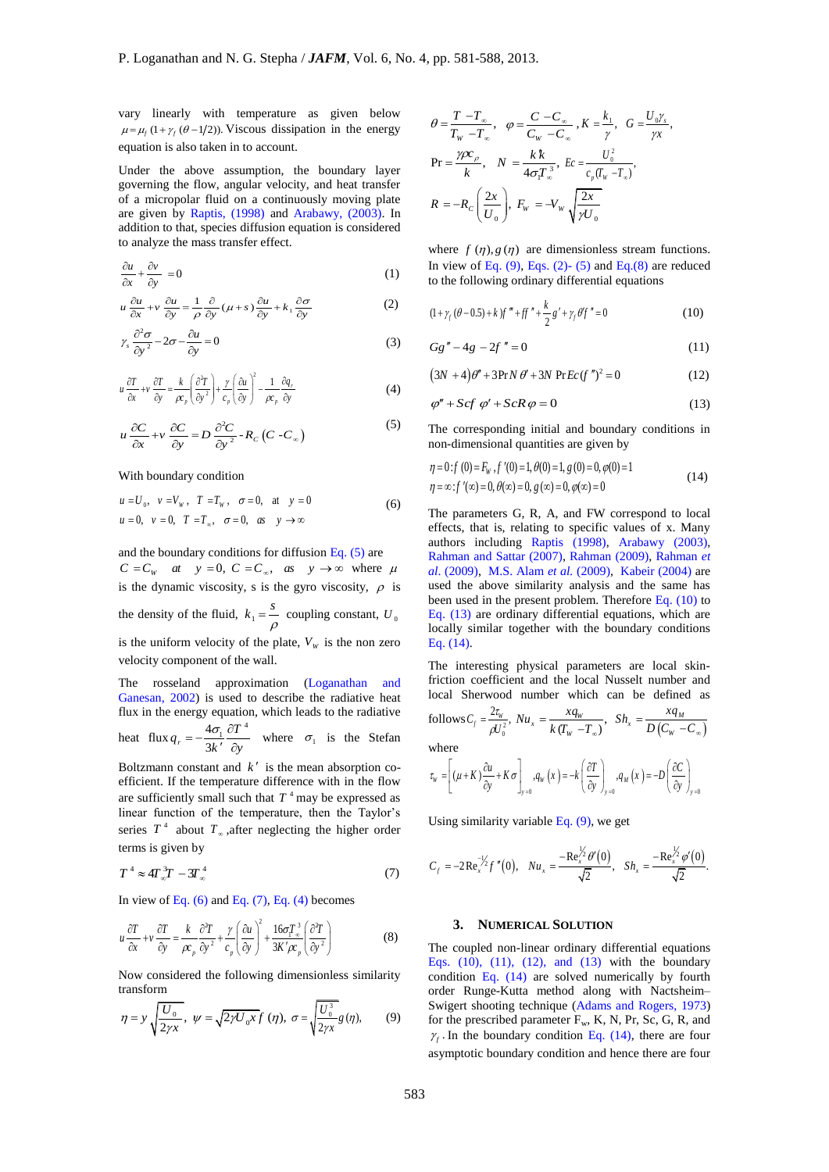vary linearly with temperature as given below  $\mu = \mu_f (1 + \gamma_f (\theta - 1/2))$ . Viscous dissipation in the energy equation is also taken in to account.

Under the above assumption, the boundary layer governing the flow, angular velocity, and heat transfer of a micropolar fluid on a continuously moving plate are given by Raptis, (1998) and Arabawy, (2003). In addition to that, species diffusion equation is considered to analyze the mass transfer effect.

$$
\frac{\partial u}{\partial x} + \frac{\partial v}{\partial y} = 0 \tag{1}
$$

$$
u\frac{\partial u}{\partial x} + v\frac{\partial u}{\partial y} = \frac{1}{\rho}\frac{\partial}{\partial y}(\mu + s)\frac{\partial u}{\partial y} + k_1\frac{\partial \sigma}{\partial y}
$$
(2)

$$
\gamma_s \frac{\partial^2 \sigma}{\partial y^2} - 2\sigma - \frac{\partial u}{\partial y} = 0 \tag{3}
$$

$$
u \frac{\partial T}{\partial x} + v \frac{\partial T}{\partial y} = \frac{k}{\rho c_p} \left( \frac{\partial^2 T}{\partial y^2} \right) + \frac{\gamma}{c_p} \left( \frac{\partial u}{\partial y} \right)^2 - \frac{1}{\rho c_p} \frac{\partial q_r}{\partial y}
$$
(4)

$$
u\frac{\partial C}{\partial x} + v\frac{\partial C}{\partial y} = D\frac{\partial^2 C}{\partial y^2} - R_C (C - C_\infty)
$$
\n(5)

#### With boundary condition

$$
u = U_0
$$
,  $v = V_w$ ,  $T = T_w$ ,  $\sigma = 0$ , at  $y = 0$   
\n $u = 0$ ,  $v = 0$ ,  $T = T_w$ ,  $\sigma = 0$ , as  $y \to \infty$  (6)

and the boundary conditions for diffusion Eq.  $(5)$  are  $C = C_w$  at  $y = 0$ ,  $C = C_\infty$ , as  $y \to \infty$  where  $\mu$ is the dynamic viscosity, s is the gyro viscosity,  $\rho$  is the density of the fluid,  $k_1 = \frac{s}{\rho}$  coupling constant,  $U_0$ is the uniform velocity of the plate,  $V_w$  is the non zero velocity component of the wall.

The rosseland approximation (Loganathan and Ganesan, 2002) is used to describe the radiative heat flux in the energy equation, which leads to the radiative heat flux  $q_r = -\frac{4\sigma_1}{\sigma_1} \frac{\partial T}{\partial r}$  $q_r = -\frac{4\sigma_1}{3k} \frac{\partial T}{\partial y}$  $=-\frac{4\sigma_1}{3k'}\frac{\partial T^4}{\partial y}$  where  $\sigma_1$  is the Stefan

Boltzmann constant and  $k'$  is the mean absorption coefficient. If the temperature difference with in the flow are sufficiently small such that  $T^4$  may be expressed as linear function of the temperature, then the Taylor's series  $T^4$  about  $T_{\infty}$ , after neglecting the higher order terms is given by

$$
T^4 \approx 4T_{\infty}^3 T - 3T_{\infty}^4 \tag{7}
$$

In view of Eq.  $(6)$  and Eq.  $(7)$ , Eq.  $(4)$  becomes

$$
u\frac{\partial T}{\partial x} + v\frac{\partial T}{\partial y} = \frac{k}{\rho c_p} \frac{\partial^2 T}{\partial y^2} + \frac{\gamma}{c_p} \left(\frac{\partial u}{\partial y}\right)^2 + \frac{16\sigma T_x^3}{3K'\rho_c} \left(\frac{\partial^2 T}{\partial y^2}\right)
$$
(8)

Now considered the following dimensionless similarity transform

$$
\eta = y \sqrt{\frac{U_0}{2\gamma x}}, \ \psi = \sqrt{2\gamma U_0 x} f(\eta), \ \sigma = \sqrt{\frac{U_0^3}{2\gamma x}} g(\eta), \tag{9}
$$

$$
\theta = \frac{T - T_{\infty}}{T_w - T_{\infty}}, \quad \varphi = \frac{C - C_{\infty}}{C_w - C_{\infty}}, K = \frac{k_1}{\gamma}, \quad G = \frac{U_0 \gamma_s}{\gamma_x},
$$

$$
\Pr = \frac{\gamma \alpha_c}{k}, \quad N = \frac{k k}{4 \sigma_i T_{\infty}}^3, \quad Ec = \frac{U_0^2}{c_p (T_w - T_{\infty})},
$$

$$
R = -R_c \left(\frac{2x}{U_0}\right), \quad F_w = -V_w \sqrt{\frac{2x}{\gamma U_0}}
$$

where  $f(\eta)$ ,  $g(\eta)$  are dimensionless stream functions. In view of Eq.  $(9)$ , Eqs.  $(2)$ - $(5)$  and Eq. $(8)$  are reduced to the following ordinary differential equations

$$
(1 + \gamma_f (\theta - 0.5) + k) f'' + ff' + \frac{k}{2} g' + \gamma_f \theta' f'' = 0
$$
 (10)

$$
Gg'' - 4g - 2f'' = 0 \tag{11}
$$

$$
(3N + 4)\theta'' + 3PrN \theta' + 3N PrEc(f'')^{2} = 0
$$
 (12)

$$
\varphi'' + Scf \varphi' + ScR\varphi = 0 \tag{13}
$$

The corresponding initial and boundary conditions in non-dimensional quantities are given by

$$
\eta = 0: f(0) = F_W, f'(0) = 1, \theta(0) = 1, g(0) = 0, \varphi(0) = 1 \eta = \infty: f'(\infty) = 0, \theta(\infty) = 0, g(\infty) = 0, \varphi(\infty) = 0
$$
\n(14)

The parameters G, R, A, and FW correspond to local effects, that is, relating to specific values of x. Many authors including Raptis (1998), Arabawy (2003), Rahman and Sattar (2007), Rahman (2009), Rahman *et al*. (2009), M.S. Alam *et al.* (2009), Kabeir (2004) are used the above similarity analysis and the same has been used in the present problem. Therefore Eq. (10) to Eq. (13) are ordinary differential equations, which are locally similar together with the boundary conditions Eq. (14).

The interesting physical parameters are local skinfriction coefficient and the local Nusselt number and local Sherwood number which can be defined as follows  $C_f = \frac{2v_w}{\rho U_0^2}$  $C_f = \frac{2\tau_{w}}{\rho U_0^2},$  $=\frac{2t_w}{\rho U_0^2}$ ,  $Nu_x = \frac{xq_w}{k(T_w - T_\infty)}$ ,  $Nu_x = \frac{xq}{1-q}$  $=\frac{xq_w}{k(T_w-T_w)}, \quad Sh_x=\frac{xq_w}{D(C_w-C_w)}$  $Sh_r = \frac{xq}{\sqrt{r}}$  $=\frac{Xq_M}{D(C_W-C_w)}$ where

where  

$$
\tau_{w} = \left[ (\mu + K) \frac{\partial u}{\partial y} + K \sigma \right]_{y=0}, q_{w}(x) = -k \left( \frac{\partial T}{\partial y} \right)_{y=0}, q_{M}(x) = -D \left( \frac{\partial C}{\partial y} \right)_{y=0}
$$

Using similarity variable Eq.  $(9)$ , we get

$$
C_f = -2\operatorname{Re}^{\frac{-1}{2}}_{x} f''(0), \quad Nu_x = \frac{-\operatorname{Re}^{\frac{1}{2}}_{x} \theta'(0)}{\sqrt{2}}, \quad Sh_x = \frac{-\operatorname{Re}^{\frac{1}{2}}_{x} \phi'(0)}{\sqrt{2}}.
$$

# **3. NUMERICAL SOLUTION**

The coupled non-linear ordinary differential equations Eqs. (10), (11), (12), and (13) with the boundary condition Eq.  $(14)$  are solved numerically by fourth order Runge-Kutta method along with Nactsheim– Swigert shooting technique (Adams and Rogers, 1973) for the prescribed parameter  $F_w$ , K, N, Pr, Sc, G, R, and  $\gamma_f$ . In the boundary condition Eq. (14), there are four asymptotic boundary condition and hence there are four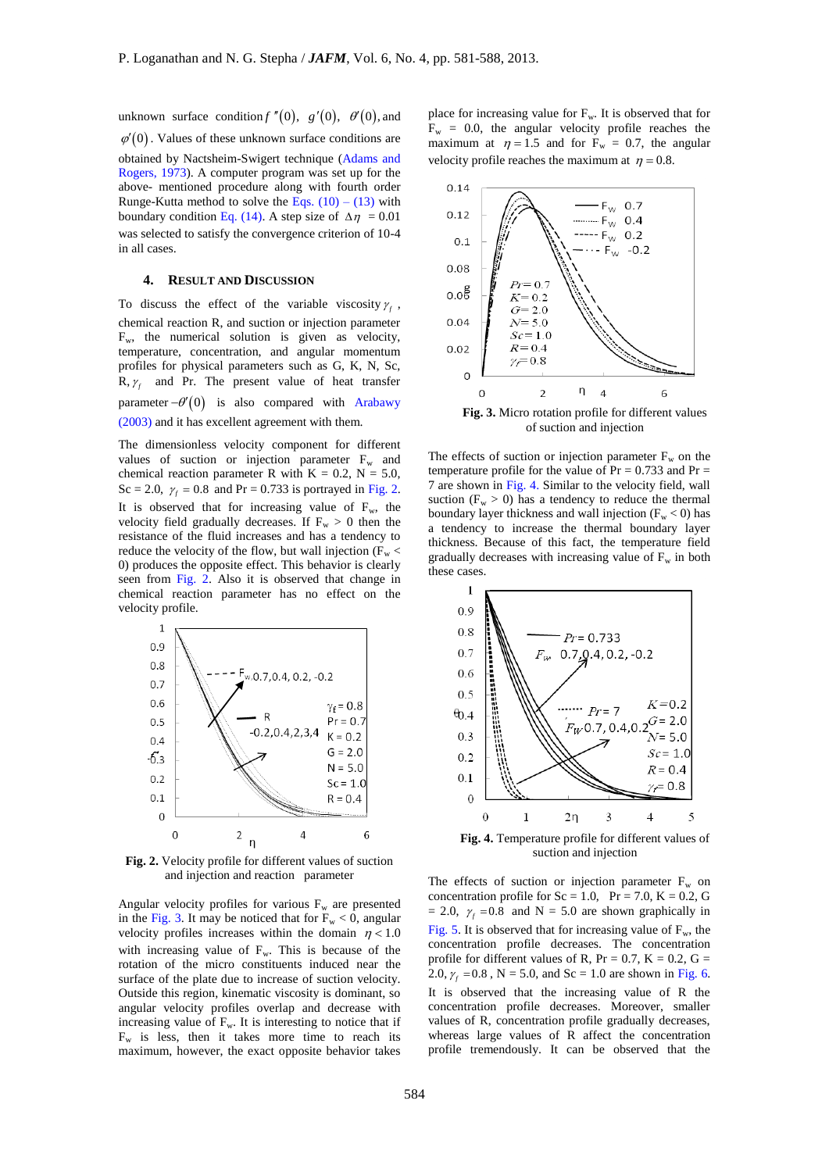unknown surface condition  $f''(0)$ ,  $g'(0)$ ,  $\theta'(0)$ , and  $\varphi'(0)$ . Values of these unknown surface conditions are obtained by Nactsheim-Swigert technique (Adams and Rogers, 1973). A computer program was set up for the

above- mentioned procedure along with fourth order Runge-Kutta method to solve the Eqs.  $(10) - (13)$  with boundary condition Eq. (14). A step size of  $\Delta \eta = 0.01$ was selected to satisfy the convergence criterion of 10-4 in all cases.

## **4. RESULT AND DISCUSSION**

To discuss the effect of the variable viscosity  $\gamma_f$ , chemical reaction R, and suction or injection parameter  $F_w$ , the numerical solution is given as velocity, temperature, concentration, and angular momentum profiles for physical parameters such as G, K, N, Sc,  $R, \gamma_f$  and Pr. The present value of heat transfer parameter  $-\theta'(0)$  is also compared with Arabawy (2003) and it has excellent agreement with them.

The dimensionless velocity component for different values of suction or injection parameter  $F_w$  and chemical reaction parameter R with  $K = 0.2$ ,  $N = 5.0$ , Sc = 2.0,  $\gamma_f = 0.8$  and Pr = 0.733 is portrayed in Fig. 2. It is observed that for increasing value of  $F_w$ , the velocity field gradually decreases. If  $F_w > 0$  then the resistance of the fluid increases and has a tendency to reduce the velocity of the flow, but wall injection ( $F_w$  < 0) produces the opposite effect. This behavior is clearly seen from Fig. 2. Also it is observed that change in chemical reaction parameter has no effect on the velocity profile.



**Fig. 2.** Velocity profile for different values of suction and injection and reaction parameter

Angular velocity profiles for various  $F_w$  are presented in the Fig. 3. It may be noticed that for  $F_w < 0$ , angular velocity profiles increases within the domain  $\eta$  < 1.0 with increasing value of  $F_w$ . This is because of the rotation of the micro constituents induced near the surface of the plate due to increase of suction velocity. Outside this region, kinematic viscosity is dominant, so angular velocity profiles overlap and decrease with increasing value of  $F_w$ . It is interesting to notice that if  $F_w$  is less, then it takes more time to reach its maximum, however, the exact opposite behavior takes

place for increasing value for  $F_w$ . It is observed that for  $F_w = 0.0$ , the angular velocity profile reaches the maximum at  $\eta = 1.5$  and for  $F_w = 0.7$ , the angular velocity profile reaches the maximum at  $\eta = 0.8$ .



**Fig. 3.** Micro rotation profile for different values of suction and injection

The effects of suction or injection parameter  $F_w$  on the temperature profile for the value of  $Pr = 0.733$  and  $Pr =$ 7 are shown in Fig. 4. Similar to the velocity field, wall suction ( $F_w > 0$ ) has a tendency to reduce the thermal boundary layer thickness and wall injection  $(F_w < 0)$  has a tendency to increase the thermal boundary layer thickness. Because of this fact, the temperature field gradually decreases with increasing value of  $F_w$  in both these cases.



**Fig. 4.** Temperature profile for different values of suction and injection

The effects of suction or injection parameter  $F_w$  on concentration profile for  $Sc = 1.0$ ,  $Pr = 7.0$ ,  $K = 0.2$ , G  $= 2.0, \gamma_f = 0.8$  and N = 5.0 are shown graphically in Fig. 5. It is observed that for increasing value of  $F_w$ , the concentration profile decreases. The concentration profile for different values of R,  $Pr = 0.7$ ,  $K = 0.2$ ,  $G =$ 2.0,  $\gamma_f = 0.8$ , N = 5.0, and Sc = 1.0 are shown in Fig. 6. It is observed that the increasing value of R the concentration profile decreases. Moreover, smaller values of R, concentration profile gradually decreases, whereas large values of R affect the concentration profile tremendously. It can be observed that the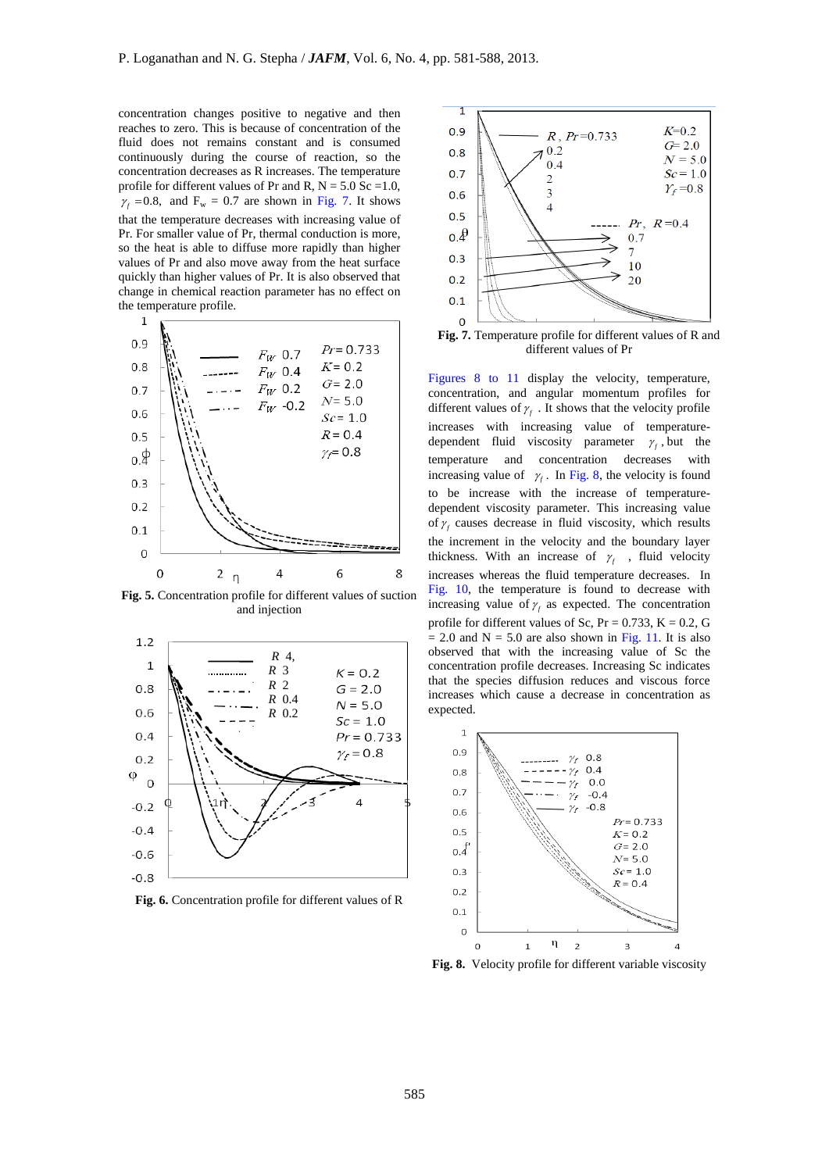concentration changes positive to negative and then reaches to zero. This is because of concentration of the fluid does not remains constant and is consumed continuously during the course of reaction, so the concentration decreases as R increases. The temperature profile for different values of Pr and R,  $N = 5.0$  Sc =1.0,  $\gamma_f$  =0.8, and F<sub>w</sub> = 0.7 are shown in Fig. 7. It shows that the temperature decreases with increasing value of Pr. For smaller value of Pr, thermal conduction is more, so the heat is able to diffuse more rapidly than higher values of Pr and also move away from the heat surface quickly than higher values of Pr. It is also observed that change in chemical reaction parameter has no effect on the temperature profile.



**Fig. 5.** Concentration profile for different values of suction and injection



**Fig. 6.** Concentration profile for different values of R



**Fig. 7.** Temperature profile for different values of R and different values of Pr

Figures 8 to 11 display the velocity, temperature, concentration, and angular momentum profiles for different values of  $\gamma_f$ . It shows that the velocity profile increases with increasing value of temperaturedependent fluid viscosity parameter  $\gamma_f$ , but the temperature and concentration decreases with increasing value of  $\gamma_f$ . In Fig. 8, the velocity is found to be increase with the increase of temperaturedependent viscosity parameter. This increasing value of  $\gamma_f$  causes decrease in fluid viscosity, which results the increment in the velocity and the boundary layer thickness. With an increase of  $\gamma_f$ , fluid velocity increases whereas the fluid temperature decreases. In Fig. 10, the temperature is found to decrease with increasing value of  $\gamma_f$  as expected. The concentration profile for different values of Sc,  $Pr = 0.733$ ,  $K = 0.2$ , G  $= 2.0$  and N = 5.0 are also shown in Fig. 11. It is also observed that with the increasing value of Sc the concentration profile decreases. Increasing Sc indicates that the species diffusion reduces and viscous force increases which cause a decrease in concentration as expected.



**Fig. 8.** Velocity profile for different variable viscosity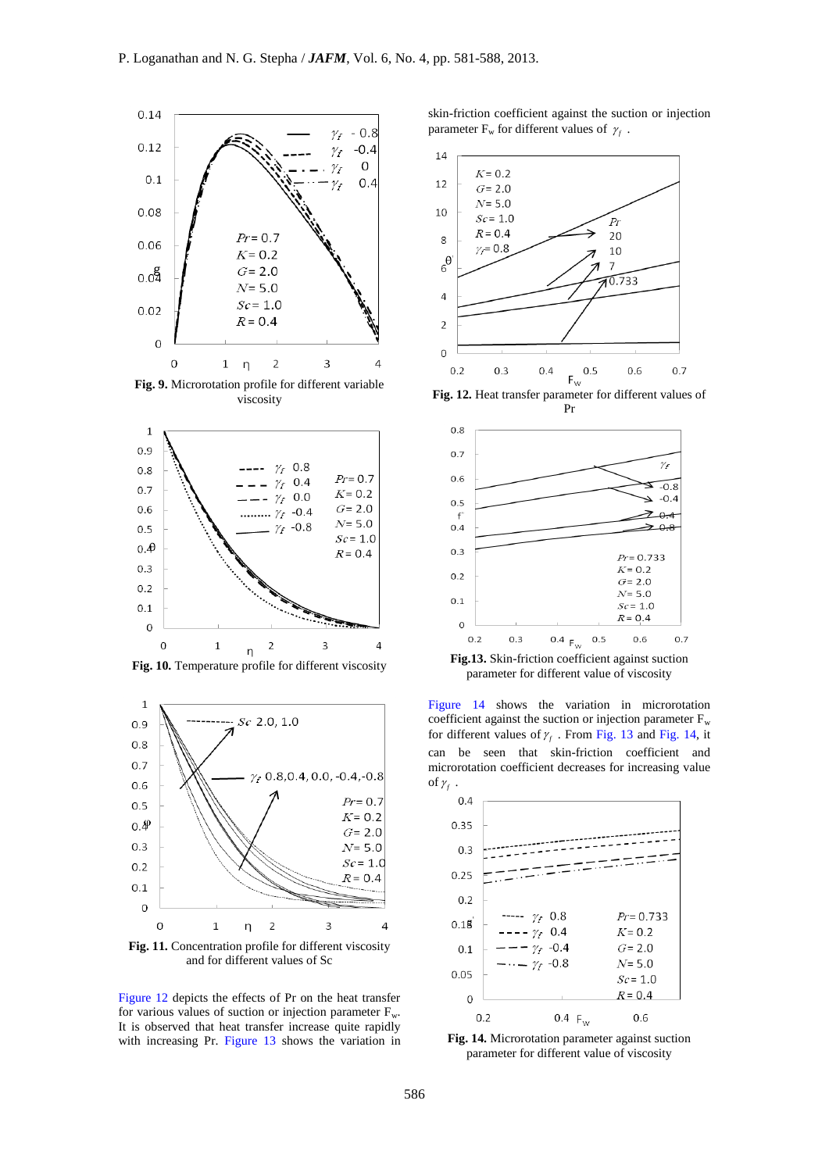

**Fig. 9.** Microrotation profile for different variable viscosity







and for different values of Sc

Figure 12 depicts the effects of Pr on the heat transfer for various values of suction or injection parameter  $F_w$ . It is observed that heat transfer increase quite rapidly with increasing Pr. Figure 13 shows the variation in

skin-friction coefficient against the suction or injection parameter  $F_w$  for different values of  $\gamma_f$ .



Pr



**Fig.13.** Skin-friction coefficient against suction parameter for different value of viscosity

Figure 14 shows the variation in microrotation coefficient against the suction or injection parameter  $F_w$ for different values of  $\gamma_f$ . From Fig. 13 and Fig. 14, it can be seen that skin-friction coefficient and microrotation coefficient decreases for increasing value of  $\gamma_f$  .

| 0.4      |                                        |                           |
|----------|----------------------------------------|---------------------------|
| 0.35     |                                        |                           |
| 0.3      |                                        |                           |
| 0.25     |                                        |                           |
| 0.2      |                                        |                           |
| 0.18     | $- \gamma_f$ 0.8<br>$--- \gamma_f$ 0.4 | $Pr = 0.733$<br>$K = 0.2$ |
| 0.1      | $- \gamma_f$ -0.4                      | $G = 2.0$                 |
| 0.05     | $-\cdots - \gamma_f$ -0.8              | $N = 5.0$<br>$Sc = 1.0$   |
| $\Omega$ |                                        | $R = 0.4$                 |
|          | 0.2<br>$0.4 F_{w}$                     | 0.6                       |

**Fig. 14.** Microrotation parameter against suction parameter for different value of viscosity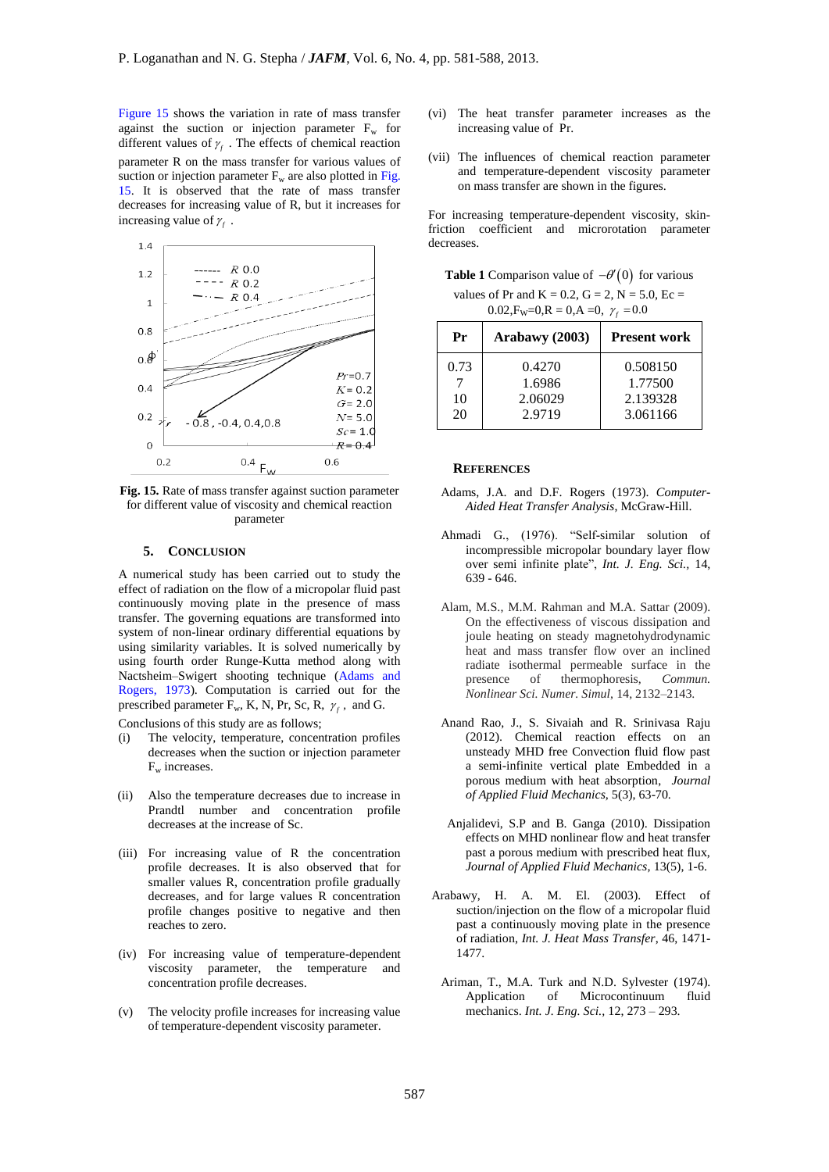Figure 15 shows the variation in rate of mass transfer against the suction or injection parameter  $F_w$  for different values of  $\gamma_f$ . The effects of chemical reaction parameter R on the mass transfer for various values of suction or injection parameter  $F_w$  are also plotted in Fig. 15. It is observed that the rate of mass transfer decreases for increasing value of R, but it increases for increasing value of  $\gamma_f$ .



**Fig. 15.** Rate of mass transfer against suction parameter for different value of viscosity and chemical reaction parameter

# **5. CONCLUSION**

A numerical study has been carried out to study the effect of radiation on the flow of a micropolar fluid past continuously moving plate in the presence of mass transfer. The governing equations are transformed into system of non-linear ordinary differential equations by using similarity variables. It is solved numerically by using fourth order Runge-Kutta method along with Nactsheim–Swigert shooting technique (Adams and Rogers, 1973). Computation is carried out for the prescribed parameter  $F_w$ , K, N, Pr, Sc, R,  $\gamma_f$ , and G.

Conclusions of this study are as follows;

- (i) The velocity, temperature, concentration profiles decreases when the suction or injection parameter  $F_w$  increases.
- (ii) Also the temperature decreases due to increase in Prandtl number and concentration profile decreases at the increase of Sc.
- (iii) For increasing value of R the concentration profile decreases. It is also observed that for smaller values R, concentration profile gradually decreases, and for large values R concentration profile changes positive to negative and then reaches to zero.
- (iv) For increasing value of temperature-dependent viscosity parameter, the temperature and concentration profile decreases.
- (v) The velocity profile increases for increasing value of temperature-dependent viscosity parameter.
- (vi) The heat transfer parameter increases as the increasing value of Pr.
- (vii) The influences of chemical reaction parameter and temperature-dependent viscosity parameter on mass transfer are shown in the figures.

For increasing temperature-dependent viscosity, skinfriction coefficient and microrotation parameter decreases.

**Table 1** Comparison value of  $-\theta'(0)$  for various values of Pr and K = 0.2, G = 2, N = 5.0, Ec =  $0.02$ ,  $F_W = 0$ ,  $R = 0$ ,  $A = 0$ ,  $\gamma_f = 0.0$ 

| Pr               | Arabawy (2003)                        | <b>Present work</b>                         |
|------------------|---------------------------------------|---------------------------------------------|
| 0.73<br>10<br>20 | 0.4270<br>1.6986<br>2.06029<br>2.9719 | 0.508150<br>1.77500<br>2.139328<br>3.061166 |

## **REFERENCES**

- Adams, J.A. and D.F. Rogers (1973). *Computer-Aided Heat Transfer Analysis*, McGraw-Hill.
- Ahmadi G., (1976). "Self-similar solution of incompressible micropolar boundary layer flow over semi infinite plate", *Int. J. Eng. Sci.,* 14, 639 - 646.
- Alam, M.S., M.M. Rahman and M.A. Sattar (2009). On the effectiveness of viscous dissipation and joule heating on steady magnetohydrodynamic heat and mass transfer flow over an inclined radiate isothermal permeable surface in the presence of thermophoresis, *Commun. Nonlinear Sci. Numer. Simul*, 14, 2132–2143.
- Anand Rao, J., S. Sivaiah and R. Srinivasa Raju (2012). Chemical reaction effects on an unsteady MHD free Convection fluid flow past a semi-infinite vertical plate Embedded in a porous medium with heat absorption, *Journal of Applied Fluid Mechanics*, 5(3), 63-70.
- Anjalidevi, S.P and B. Ganga (2010). Dissipation effects on MHD nonlinear flow and heat transfer past a porous medium with prescribed heat flux, *Journal of Applied Fluid Mechanics,* 13(5), 1-6.
- Arabawy, H. A. M. El. (2003). Effect of suction/injection on the flow of a micropolar fluid past a continuously moving plate in the presence of radiation, *Int. J. Heat Mass Transfer*, 46, 1471- 1477.
	- Ariman, T., M.A. Turk and N.D. Sylvester (1974). Application of Microcontinuum fluid mechanics. *Int. J. Eng. Sci.,* 12, 273 – 293.